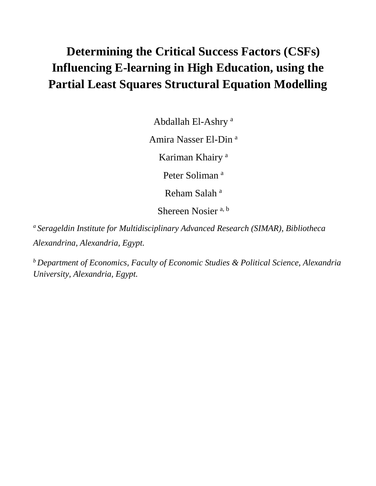# **Determining the Critical Success Factors (CSFs) Influencing E-learning in High Education, using the Partial Least Squares Structural Equation Modelling**

Abdallah El-Ashry <sup>a</sup>

Amira Nasser El-Din <sup>a</sup>

Kariman Khairy<sup>a</sup>

Peter Soliman<sup>a</sup>

Reham Salah<sup>a</sup>

Shereen Nosier<sup>a, b</sup>

*<sup>a</sup> Serageldin Institute for Multidisciplinary Advanced Research (SIMAR), Bibliotheca Alexandrina, Alexandria, Egypt.*

*<sup>b</sup> Department of Economics, Faculty of Economic Studies & Political Science, Alexandria University, Alexandria, Egypt.*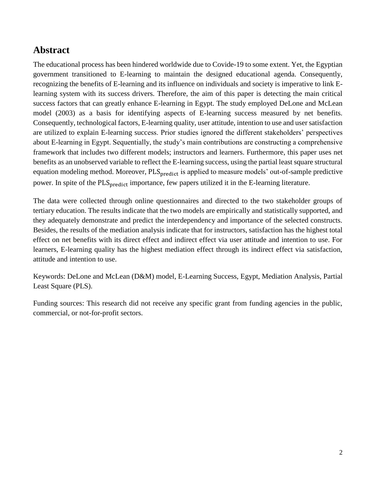# **Abstract**

The educational process has been hindered worldwide due to Covide-19 to some extent. Yet, the Egyptian government transitioned to E-learning to maintain the designed educational agenda. Consequently, recognizing the benefits of E-learning and its influence on individuals and society is imperative to link Elearning system with its success drivers. Therefore, the aim of this paper is detecting the main critical success factors that can greatly enhance E-learning in Egypt. The study employed DeLone and McLean model (2003) as a basis for identifying aspects of E-learning success measured by net benefits. Consequently, technological factors, E-learning quality, user attitude, intention to use and user satisfaction are utilized to explain E-learning success. Prior studies ignored the different stakeholders' perspectives about E-learning in Egypt. Sequentially, the study's main contributions are constructing a comprehensive framework that includes two different models; instructors and learners. Furthermore, this paper uses net benefits as an unobserved variable to reflect the E-learning success, using the partial least square structural equation modeling method. Moreover, PLS<sub>predict</sub> is applied to measure models' out-of-sample predictive power. In spite of the PLS<sub>predict</sub> importance, few papers utilized it in the E-learning literature.

The data were collected through online questionnaires and directed to the two stakeholder groups of tertiary education. The results indicate that the two models are empirically and statistically supported, and they adequately demonstrate and predict the interdependency and importance of the selected constructs. Besides, the results of the mediation analysis indicate that for instructors, satisfaction has the highest total effect on net benefits with its direct effect and indirect effect via user attitude and intention to use. For learners, E-learning quality has the highest mediation effect through its indirect effect via satisfaction, attitude and intention to use.

Keywords: DeLone and McLean (D&M) model, E-Learning Success, Egypt, Mediation Analysis, Partial Least Square (PLS).

Funding sources: This research did not receive any specific grant from funding agencies in the public, commercial, or not-for-profit sectors.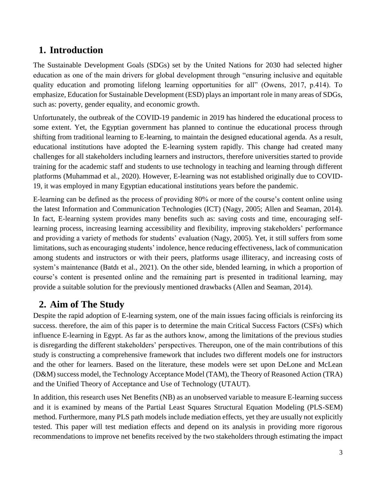# **1. Introduction**

The Sustainable Development Goals (SDGs) set by the United Nations for 2030 had selected higher education as one of the main drivers for global development through "ensuring inclusive and equitable quality education and promoting lifelong learning opportunities for all" (Owens, 2017, p.414). To emphasize, Education for Sustainable Development (ESD) plays an important role in many areas of SDGs, such as: poverty, gender equality, and economic growth.

Unfortunately, the outbreak of the COVID-19 pandemic in 2019 has hindered the educational process to some extent. Yet, the Egyptian government has planned to continue the educational process through shifting from traditional learning to E-learning, to maintain the designed educational agenda. As a result, educational institutions have adopted the E-learning system rapidly. This change had created many challenges for all stakeholders including learners and instructors, therefore universities started to provide training for the academic staff and students to use technology in teaching and learning through different platforms (Muhammad et al., 2020). However, E-learning was not established originally due to COVID-19, it was employed in many Egyptian educational institutions years before the pandemic.

E-learning can be defined as the process of providing 80% or more of the course's content online using the latest Information and Communication Technologies (ICT) (Nagy, 2005; Allen and Seaman, 2014). In fact, E-learning system provides many benefits such as: saving costs and time, encouraging selflearning process, increasing learning accessibility and flexibility, improving stakeholders' performance and providing a variety of methods for students' evaluation (Nagy, 2005). Yet, it still suffers from some limitations, such as encouraging students' indolence, hence reducing effectiveness, lack of communication among students and instructors or with their peers, platforms usage illiteracy, and increasing costs of system's maintenance (Batdı et al., 2021). On the other side, blended learning, in which a proportion of course's content is presented online and the remaining part is presented in traditional learning, may provide a suitable solution for the previously mentioned drawbacks (Allen and Seaman, 2014).

# **2. Aim of The Study**

Despite the rapid adoption of E-learning system, one of the main issues facing officials is reinforcing its success. therefore, the aim of this paper is to determine the main Critical Success Factors (CSFs) which influence E-learning in Egypt. As far as the authors know, among the limitations of the previous studies is disregarding the different stakeholders' perspectives. Thereupon, one of the main contributions of this study is constructing a comprehensive framework that includes two different models one for instructors and the other for learners. Based on the literature, these models were set upon DeLone and McLean (D&M) success model, the Technology Acceptance Model (TAM), the Theory of Reasoned Action (TRA) and the Unified Theory of Acceptance and Use of Technology (UTAUT).

In addition, this research uses Net Benefits (NB) as an unobserved variable to measure E-learning success and it is examined by means of the Partial Least Squares Structural Equation Modeling (PLS-SEM) method. Furthermore, many PLS path models include mediation effects, yet they are usually not explicitly tested. This paper will test mediation effects and depend on its analysis in providing more rigorous recommendations to improve net benefits received by the two stakeholders through estimating the impact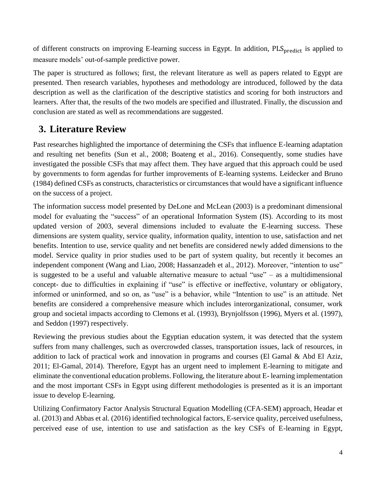of different constructs on improving E-learning success in Egypt. In addition, PLS<sub>predict</sub> is applied to measure models' out-of-sample predictive power.

The paper is structured as follows; first, the relevant literature as well as papers related to Egypt are presented. Then research variables, hypotheses and methodology are introduced, followed by the data description as well as the clarification of the descriptive statistics and scoring for both instructors and learners. After that, the results of the two models are specified and illustrated. Finally, the discussion and conclusion are stated as well as recommendations are suggested.

# **3. Literature Review**

Past researches highlighted the importance of determining the CSFs that influence E-learning adaptation and resulting net benefits (Sun et al., 2008; Boateng et al., 2016). Consequently, some studies have investigated the possible CSFs that may affect them. They have argued that this approach could be used by governments to form agendas for further improvements of E-learning systems. Leidecker and Bruno (1984) defined CSFs as constructs, characteristics or circumstances that would have a significant influence on the success of a project.

The information success model presented by DeLone and McLean (2003) is a predominant dimensional model for evaluating the "success" of an operational Information System (IS). According to its most updated version of 2003, several dimensions included to evaluate the E-learning success. These dimensions are system quality, service quality, information quality, intention to use, satisfaction and net benefits. Intention to use, service quality and net benefits are considered newly added dimensions to the model. Service quality in prior studies used to be part of system quality, but recently it becomes an independent component (Wang and Liao, 2008; Hassanzadeh et al., 2012). Moreover, "intention to use" is suggested to be a useful and valuable alternative measure to actual "use" – as a multidimensional concept- due to difficulties in explaining if "use" is effective or ineffective, voluntary or obligatory, informed or uninformed, and so on, as "use" is a behavior, while "Intention to use" is an attitude. Net benefits are considered a comprehensive measure which includes interorganizational, consumer, work group and societal impacts according to Clemons et al. (1993), Brynjolfsson (1996), Myers et al. (1997), and Seddon (1997) respectively.

Reviewing the previous studies about the Egyptian education system, it was detected that the system suffers from many challenges, such as overcrowded classes, transportation issues, lack of resources, in addition to lack of practical work and innovation in programs and courses (El Gamal & Abd El Aziz, 2011; El-Gamal, 2014). Therefore, Egypt has an urgent need to implement E-learning to mitigate and eliminate the conventional education problems. Following, the literature about E- learning implementation and the most important CSFs in Egypt using different methodologies is presented as it is an important issue to develop E-learning.

Utilizing Confirmatory Factor Analysis Structural Equation Modelling (CFA-SEM) approach, Headar et al. (2013) and Abbas et al. (2016) identified technological factors, E-service quality, perceived usefulness, perceived ease of use, intention to use and satisfaction as the key CSFs of E-learning in Egypt,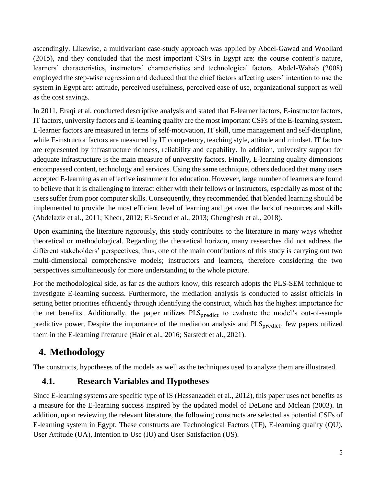ascendingly. Likewise, a multivariant case-study approach was applied by Abdel-Gawad and Woollard (2015), and they concluded that the most important CSFs in Egypt are: the course content's nature, learners' characteristics, instructors' characteristics and technological factors. Abdel‐Wahab (2008) employed the step-wise regression and deduced that the chief factors affecting users' intention to use the system in Egypt are: attitude, perceived usefulness, perceived ease of use, organizational support as well as the cost savings.

In 2011, Eraqi et al. conducted descriptive analysis and stated that E-learner factors, E-instructor factors, IT factors, university factors and E-learning quality are the most important CSFs of the E-learning system. E-learner factors are measured in terms of self-motivation, IT skill, time management and self-discipline, while E-instructor factors are measured by IT competency, teaching style, attitude and mindset. IT factors are represented by infrastructure richness, reliability and capability. In addition, university support for adequate infrastructure is the main measure of university factors. Finally, E-learning quality dimensions encompassed content, technology and services. Using the same technique, others deduced that many users accepted E-learning as an effective instrument for education. However, large number of learners are found to believe that it is challenging to interact either with their fellows or instructors, especially as most of the users suffer from poor computer skills. Consequently, they recommended that blended learning should be implemented to provide the most efficient level of learning and get over the lack of resources and skills (Abdelaziz et al., 2011; Khedr, 2012; El-Seoud et al., 2013; Ghenghesh et al., 2018).

Upon examining the literature rigorously, this study contributes to the literature in many ways whether theoretical or methodological. Regarding the theoretical horizon, many researches did not address the different stakeholders' perspectives; thus, one of the main contributions of this study is carrying out two multi-dimensional comprehensive models; instructors and learners, therefore considering the two perspectives simultaneously for more understanding to the whole picture.

For the methodological side, as far as the authors know, this research adopts the PLS-SEM technique to investigate E-learning success. Furthermore, the mediation analysis is conducted to assist officials in setting better priorities efficiently through identifying the construct, which has the highest importance for the net benefits. Additionally, the paper utilizes PLS<sub>predict</sub> to evaluate the model's out-of-sample predictive power. Despite the importance of the mediation analysis and PLS<sub>predict</sub>, few papers utilized them in the E-learning literature (Hair et al., 2016; Sarstedt et al., 2021).

# **4. Methodology**

The constructs, hypotheses of the models as well as the techniques used to analyze them are illustrated.

# **4.1. Research Variables and Hypotheses**

Since E-learning systems are specific type of IS (Hassanzadeh et al., 2012), this paper uses net benefits as a measure for the E-learning success inspired by the updated model of DeLone and Mclean (2003). In addition, upon reviewing the relevant literature, the following constructs are selected as potential CSFs of E-learning system in Egypt. These constructs are Technological Factors (TF), E-learning quality (QU), User Attitude (UA), Intention to Use (IU) and User Satisfaction (US).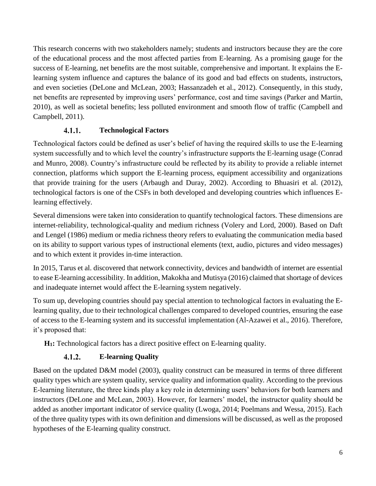This research concerns with two stakeholders namely; students and instructors because they are the core of the educational process and the most affected parties from E-learning. As a promising gauge for the success of E-learning, net benefits are the most suitable, comprehensive and important. It explains the Elearning system influence and captures the balance of its good and bad effects on students, instructors, and even societies (DeLone and McLean, 2003; Hassanzadeh et al., 2012). Consequently, in this study, net benefits are represented by improving users' performance, cost and time savings (Parker and Martin, 2010), as well as societal benefits; less polluted environment and smooth flow of traffic (Campbell and Campbell, 2011).

### $4.1.1.$ **Technological Factors**

Technological factors could be defined as user's belief of having the required skills to use the E-learning system successfully and to which level the country's infrastructure supports the E-learning usage (Conrad and Munro, 2008). Country's infrastructure could be reflected by its ability to provide a reliable internet connection, platforms which support the E-learning process, equipment accessibility and organizations that provide training for the users (Arbaugh and Duray, 2002). According to Bhuasiri et al. (2012), technological factors is one of the CSFs in both developed and developing countries which influences Elearning effectively.

Several dimensions were taken into consideration to quantify technological factors. These dimensions are internet-reliability, technological-quality and medium richness (Volery and Lord, 2000). Based on Daft and Lengel (1986) medium or media richness theory refers to evaluating the communication media based on its ability to support various types of instructional elements (text, audio, pictures and video messages) and to which extent it provides in-time interaction.

In 2015, Tarus et al. discovered that network connectivity, devices and bandwidth of internet are essential to ease E-learning accessibility. In addition, Makokha and Mutisya (2016) claimed that shortage of devices and inadequate internet would affect the E-learning system negatively.

To sum up, developing countries should pay special attention to technological factors in evaluating the Elearning quality, due to their technological challenges compared to developed countries, ensuring the ease of access to the E-learning system and its successful implementation (Al-Azawei et al., 2016). Therefore, it's proposed that:

**H1:** Technological factors has a direct positive effect on E-learning quality.

### $4.1.2.$ **E-learning Quality**

Based on the updated D&M model (2003), quality construct can be measured in terms of three different quality types which are system quality, service quality and information quality. According to the previous E-learning literature, the three kinds play a key role in determining users' behaviors for both learners and instructors (DeLone and McLean, 2003). However, for learners' model, the instructor quality should be added as another important indicator of service quality (Lwoga, 2014; Poelmans and Wessa, 2015). Each of the three quality types with its own definition and dimensions will be discussed, as well as the proposed hypotheses of the E-learning quality construct.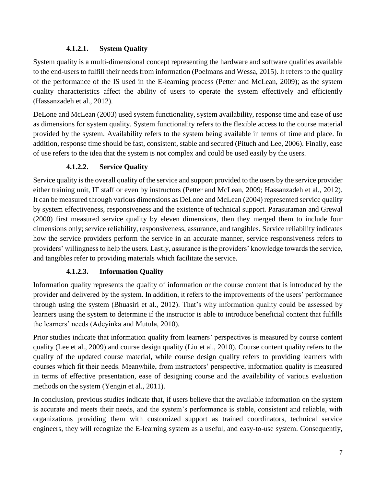## **4.1.2.1. System Quality**

System quality is a multi-dimensional concept representing the hardware and software qualities available to the end-users to fulfill their needs from information (Poelmans and Wessa, 2015). It refers to the quality of the performance of the IS used in the E-learning process (Petter and McLean, 2009); as the system quality characteristics affect the ability of users to operate the system effectively and efficiently (Hassanzadeh et al., 2012).

DeLone and McLean (2003) used system functionality, system availability, response time and ease of use as dimensions for system quality. System functionality refers to the flexible access to the course material provided by the system. Availability refers to the system being available in terms of time and place. In addition, response time should be fast, consistent, stable and secured (Pituch and Lee, 2006). Finally, ease of use refers to the idea that the system is not complex and could be used easily by the users.

## **4.1.2.2. Service Quality**

Service quality is the overall quality of the service and support provided to the users by the service provider either training unit, IT staff or even by instructors (Petter and McLean, 2009; Hassanzadeh et al., 2012). It can be measured through various dimensions as DeLone and McLean (2004) represented service quality by system effectiveness, responsiveness and the existence of technical support. Parasuraman and Grewal (2000) first measured service quality by eleven dimensions, then they merged them to include four dimensions only; service reliability, responsiveness, assurance, and tangibles. Service reliability indicates how the service providers perform the service in an accurate manner, service responsiveness refers to providers' willingness to help the users. Lastly, assurance is the providers' knowledge towards the service, and tangibles refer to providing materials which facilitate the service.

## **4.1.2.3. Information Quality**

Information quality represents the quality of information or the course content that is introduced by the provider and delivered by the system. In addition, it refers to the improvements of the users' performance through using the system (Bhuasiri et al., 2012). That's why information quality could be assessed by learners using the system to determine if the instructor is able to introduce beneficial content that fulfills the learners' needs (Adeyinka and Mutula, 2010).

Prior studies indicate that information quality from learners' perspectives is measured by course content quality (Lee et al., 2009) and course design quality (Liu et al., 2010). Course content quality refers to the quality of the updated course material, while course design quality refers to providing learners with courses which fit their needs. Meanwhile, from instructors' perspective, information quality is measured in terms of effective presentation, ease of designing course and the availability of various evaluation methods on the system (Yengin et al., 2011).

In conclusion, previous studies indicate that, if users believe that the available information on the system is accurate and meets their needs, and the system's performance is stable, consistent and reliable, with organizations providing them with customized support as trained coordinators, technical service engineers, they will recognize the E-learning system as a useful, and easy-to-use system. Consequently,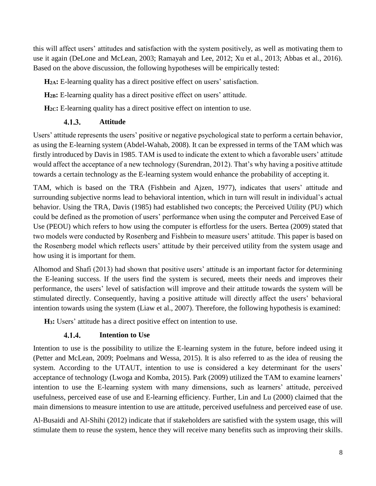this will affect users' attitudes and satisfaction with the system positively, as well as motivating them to use it again (DeLone and McLean, 2003; Ramayah and Lee, 2012; Xu et al., 2013; Abbas et al., 2016). Based on the above discussion, the following hypotheses will be empirically tested:

**H2A:** E-learning quality has a direct positive effect on users' satisfaction.

**H2B:** E-learning quality has a direct positive effect on users' attitude.

**H2C:** E-learning quality has a direct positive effect on intention to use.

#### $4.1.3.$ **Attitude**

Users' attitude represents the users' positive or negative psychological state to perform a certain behavior, as using the E-learning system (Abdel-Wahab, 2008). It can be expressed in terms of the TAM which was firstly introduced by Davis in 1985. TAM is used to indicate the extent to which a favorable users' attitude would affect the acceptance of a new technology (Surendran, 2012). That's why having a positive attitude towards a certain technology as the E-learning system would enhance the probability of accepting it.

TAM, which is based on the TRA (Fishbein and Ajzen, 1977), indicates that users' attitude and surrounding subjective norms lead to behavioral intention, which in turn will result in individual's actual behavior. Using the TRA, Davis (1985) had established two concepts; the Perceived Utility (PU) which could be defined as the promotion of users' performance when using the computer and Perceived Ease of Use (PEOU) which refers to how using the computer is effortless for the users. Bertea (2009) stated that two models were conducted by Rosenberg and Fishbein to measure users' attitude. This paper is based on the Rosenberg model which reflects users' attitude by their perceived utility from the system usage and how using it is important for them.

Alhomod and Shafi (2013) had shown that positive users' attitude is an important factor for determining the E-leaning success. If the users find the system is secured, meets their needs and improves their performance, the users' level of satisfaction will improve and their attitude towards the system will be stimulated directly. Consequently, having a positive attitude will directly affect the users' behavioral intention towards using the system (Liaw et al., 2007). Therefore, the following hypothesis is examined:

**H3:** Users' attitude has a direct positive effect on intention to use.

#### **Intention to Use**  $4.1.4.$

Intention to use is the possibility to utilize the E-learning system in the future, before indeed using it (Petter and McLean, 2009; Poelmans and Wessa, 2015). It is also referred to as the idea of reusing the system. According to the UTAUT, intention to use is considered a key determinant for the users' acceptance of technology (Lwoga and Komba, 2015). Park (2009) utilized the TAM to examine learners' intention to use the E-learning system with many dimensions, such as learners' attitude, perceived usefulness, perceived ease of use and E-learning efficiency. Further, Lin and Lu (2000) claimed that the main dimensions to measure intention to use are attitude, perceived usefulness and perceived ease of use.

Al-Busaidi and Al-Shihi (2012) indicate that if stakeholders are satisfied with the system usage, this will stimulate them to reuse the system, hence they will receive many benefits such as improving their skills.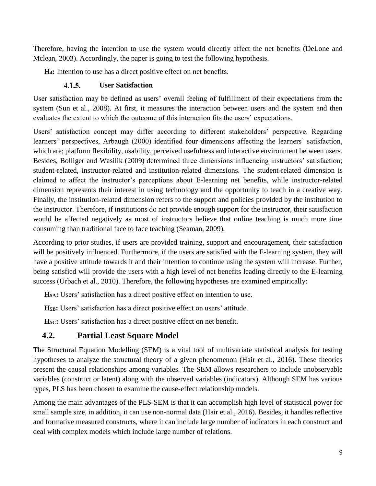Therefore, having the intention to use the system would directly affect the net benefits (DeLone and Mclean, 2003). Accordingly, the paper is going to test the following hypothesis.

**H4:** Intention to use has a direct positive effect on net benefits.

### $4.1.5.$ **User Satisfaction**

User satisfaction may be defined as users' overall feeling of fulfillment of their expectations from the system (Sun et al., 2008). At first, it measures the interaction between users and the system and then evaluates the extent to which the outcome of this interaction fits the users' expectations.

Users' satisfaction concept may differ according to different stakeholders' perspective. Regarding learners' perspectives, Arbaugh (2000) identified four dimensions affecting the learners' satisfaction, which are; platform flexibility, usability, perceived usefulness and interactive environment between users. Besides, Bolliger and Wasilik (2009) determined three dimensions influencing instructors' satisfaction; student-related, instructor-related and institution-related dimensions. The student-related dimension is claimed to affect the instructor's perceptions about E-learning net benefits, while instructor-related dimension represents their interest in using technology and the opportunity to teach in a creative way. Finally, the institution-related dimension refers to the support and policies provided by the institution to the instructor. Therefore, if institutions do not provide enough support for the instructor, their satisfaction would be affected negatively as most of instructors believe that online teaching is much more time consuming than traditional face to face teaching (Seaman, 2009).

According to prior studies, if users are provided training, support and encouragement, their satisfaction will be positively influenced. Furthermore, if the users are satisfied with the E-learning system, they will have a positive attitude towards it and their intention to continue using the system will increase. Further, being satisfied will provide the users with a high level of net benefits leading directly to the E-learning success (Urbach et al., 2010). Therefore, the following hypotheses are examined empirically:

**H5A:** Users' satisfaction has a direct positive effect on intention to use.

**H5B:** Users' satisfaction has a direct positive effect on users' attitude.

**H5C:** Users' satisfaction has a direct positive effect on net benefit.

# **4.2. Partial Least Square Model**

The Structural Equation Modelling (SEM) is a vital tool of multivariate statistical analysis for testing hypotheses to analyze the structural theory of a given phenomenon (Hair et al., 2016). These theories present the causal relationships among variables. The SEM allows researchers to include unobservable variables (construct or latent) along with the observed variables (indicators). Although SEM has various types, PLS has been chosen to examine the cause-effect relationship models.

Among the main advantages of the PLS-SEM is that it can accomplish high level of statistical power for small sample size, in addition, it can use non-normal data (Hair et al., 2016). Besides, it handles reflective and formative measured constructs, where it can include large number of indicators in each construct and deal with complex models which include large number of relations.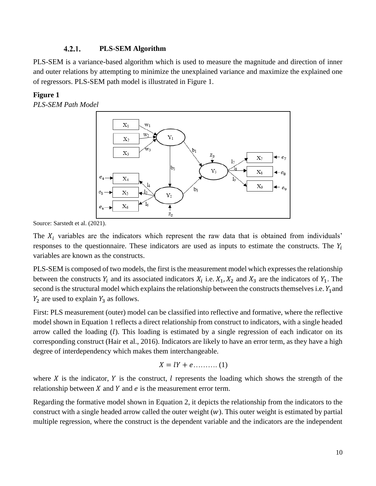#### $4.2.1.$ **PLS-SEM Algorithm**

PLS-SEM is a variance-based algorithm which is used to measure the magnitude and direction of inner and outer relations by attempting to minimize the unexplained variance and maximize the explained one of regressors. PLS-SEM path model is illustrated in Figure 1.

### **Figure 1**

*PLS-SEM Path Model*



Source: Sarstedt et al. (2021).

The  $X_i$  variables are the indicators which represent the raw data that is obtained from individuals' responses to the questionnaire. These indicators are used as inputs to estimate the constructs. The  $Y_i$ variables are known as the constructs.

PLS-SEM is composed of two models, the first is the measurement model which expresses the relationship between the constructs  $Y_i$  and its associated indicators  $X_i$  i.e.  $X_1, X_2$  and  $X_3$  are the indicators of  $Y_1$ . The second is the structural model which explains the relationship between the constructs themselves i.e.  $Y_1$  and  $Y_2$  are used to explain  $Y_3$  as follows.

First: PLS measurement (outer) model can be classified into reflective and formative, where the reflective model shown in Equation 1 reflects a direct relationship from construct to indicators, with a single headed arrow called the loading  $(l)$ . This loading is estimated by a single regression of each indicator on its corresponding construct (Hair et al., 2016). Indicators are likely to have an error term, as they have a high degree of interdependency which makes them interchangeable.

$$
X = lY + e \dots \dots \dots \dots (1)
$$

where X is the indicator, Y is the construct,  $\ell$  represents the loading which shows the strength of the relationship between  $X$  and  $Y$  and  $e$  is the measurement error term.

Regarding the formative model shown in Equation 2, it depicts the relationship from the indicators to the construct with a single headed arrow called the outer weight  $(w)$ . This outer weight is estimated by partial multiple regression, where the construct is the dependent variable and the indicators are the independent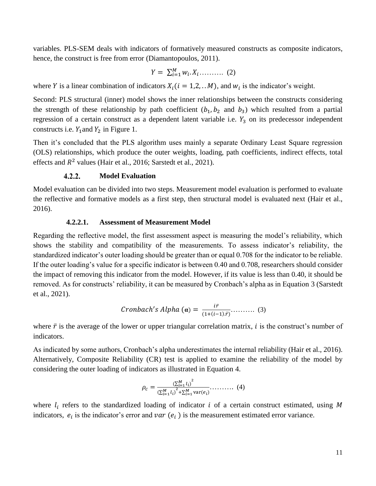variables. PLS-SEM deals with indicators of formatively measured constructs as composite indicators, hence, the construct is free from error (Diamantopoulos, 2011).

$$
Y = \sum_{i=1}^{M} w_i \cdot X_i \dots \dots \dots \quad (2)
$$

where *Y* is a linear combination of indicators  $X_i$  ( $i = 1, 2, ...M$ ), and  $w_i$  is the indicator's weight.

Second: PLS structural (inner) model shows the inner relationships between the constructs considering the strength of these relationship by path coefficient  $(b_1, b_2, b_3)$  which resulted from a partial regression of a certain construct as a dependent latent variable i.e.  $Y_3$  on its predecessor independent constructs i.e.  $Y_1$  and  $Y_2$  in Figure 1.

Then it's concluded that the PLS algorithm uses mainly a separate Ordinary Least Square regression (OLS) relationships, which produce the outer weights, loading, path coefficients, indirect effects, total effects and  $R^2$  values (Hair et al., 2016; Sarstedt et al., 2021).

#### $4.2.2.$ **Model Evaluation**

Model evaluation can be divided into two steps. Measurement model evaluation is performed to evaluate the reflective and formative models as a first step, then structural model is evaluated next (Hair et al., 2016).

### **4.2.2.1. Assessment of Measurement Model**

Regarding the reflective model, the first assessment aspect is measuring the model's reliability, which shows the stability and compatibility of the measurements. To assess indicator's reliability, the standardized indicator's outer loading should be greater than or equal 0.708 for the indicator to be reliable. If the outer loading's value for a specific indicator is between 0.40 and 0.708, researchers should consider the impact of removing this indicator from the model. However, if its value is less than 0.40, it should be removed. As for constructs' reliability, it can be measured by Cronbach's alpha as in Equation 3 (Sarstedt et al., 2021).

ℎ ′ ℎ () = ̅ (1+(−1).̅)………. (3)

where  $\bar{r}$  is the average of the lower or upper triangular correlation matrix, *i* is the construct's number of indicators.

As indicated by some authors, Cronbach's alpha underestimates the internal reliability (Hair et al., 2016). Alternatively, Composite Reliability (CR) test is applied to examine the reliability of the model by considering the outer loading of indicators as illustrated in Equation 4.

$$
\rho_c = \frac{\left(\sum_{i=1}^{M} l_i\right)^2}{\left(\sum_{i=1}^{M} l_i\right)^2 + \sum_{i=1}^{M} \text{var}(e_i)} \dots \dots \dots \tag{4}
$$

where  $l_i$  refers to the standardized loading of indicator i of a certain construct estimated, using M indicators,  $e_i$  is the indicator's error and  $var(e_i)$  is the measurement estimated error variance.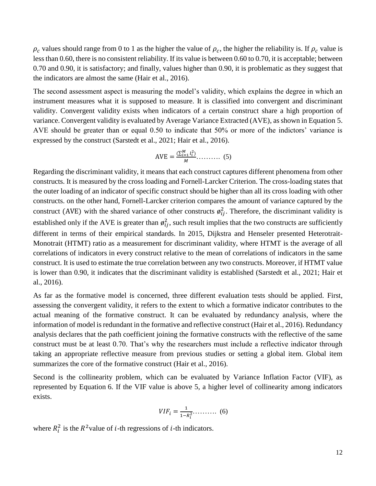$\rho_c$  values should range from 0 to 1 as the higher the value of  $\rho_c$ , the higher the reliability is. If  $\rho_c$  value is less than 0.60, there is no consistent reliability. If its value is between 0.60 to 0.70, it is acceptable; between 0.70 and 0.90, it is satisfactory; and finally, values higher than 0.90, it is problematic as they suggest that the indicators are almost the same (Hair et al., 2016).

The second assessment aspect is measuring the model's validity, which explains the degree in which an instrument measures what it is supposed to measure. It is classified into convergent and discriminant validity. Convergent validity exists when indicators of a certain construct share a high proportion of variance. Convergent validity is evaluated by Average Variance Extracted (AVE), as shown in Equation 5. AVE should be greater than or equal 0.50 to indicate that 50% or more of the indictors' variance is expressed by the construct (Sarstedt et al., 2021; Hair et al., 2016).

$$
AVE = \frac{\left(\sum_{i=1}^{M} l_i^2\right)}{M} \dots \dots \dots \tag{5}
$$

Regarding the discriminant validity, it means that each construct captures different phenomena from other constructs. It is measured by the cross loading and Fornell-Larcker Criterion. The cross-loading states that the outer loading of an indicator of specific construct should be higher than all its cross loading with other constructs. on the other hand, Fornell-Larcker criterion compares the amount of variance captured by the construct (AVE) with the shared variance of other constructs  $\varphi_{ij}^2$ . Therefore, the discriminant validity is established only if the AVE is greater than  $\varphi_{ij}^2$ , such result implies that the two constructs are sufficiently different in terms of their empirical standards. In 2015, Dijkstra and Henseler presented Heterotrait-Monotrait (HTMT) ratio as a measurement for discriminant validity, where HTMT is the average of all correlations of indicators in every construct relative to the mean of correlations of indicators in the same construct. It is used to estimate the true correlation between any two constructs. Moreover, if HTMT value is lower than 0.90, it indicates that the discriminant validity is established (Sarstedt et al., 2021; Hair et al., 2016).

As far as the formative model is concerned, three different evaluation tests should be applied. First, assessing the convergent validity, it refers to the extent to which a formative indicator contributes to the actual meaning of the formative construct. It can be evaluated by redundancy analysis, where the information of model is redundant in the formative and reflective construct (Hair et al., 2016). Redundancy analysis declares that the path coefficient joining the formative constructs with the reflective of the same construct must be at least 0.70. That's why the researchers must include a reflective indicator through taking an appropriate reflective measure from previous studies or setting a global item. Global item summarizes the core of the formative construct (Hair et al., 2016).

Second is the collinearity problem, which can be evaluated by Variance Inflation Factor (VIF), as represented by Equation 6. If the VIF value is above 5, a higher level of collinearity among indicators exists.

$$
VIF_i = \frac{1}{1 - R_i^2} \dots \dots \dots \quad (6)
$$

where  $R_i^2$  is the  $R^2$  value of *i*-th regressions of *i*-th indicators.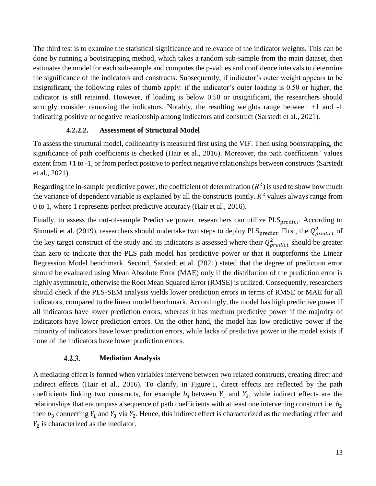The third test is to examine the statistical significance and relevance of the indicator weights. This can be done by running a bootstrapping method, which takes a random sub-sample from the main dataset, then estimates the model for each sub-sample and computes the p-values and confidence intervals to determine the significance of the indicators and constructs. Subsequently, if indicator's outer weight appears to be insignificant, the following rules of thumb apply: if the indicator's outer loading is 0.50 or higher, the indicator is still retained. However, if loading is below 0.50 or insignificant, the researchers should strongly consider removing the indicators. Notably, the resulting weights range between +1 and -1 indicating positive or negative relationship among indicators and construct (Sarstedt et al., 2021).

## **4.2.2.2. Assessment of Structural Model**

To assess the structural model, collinearity is measured first using the VIF. Then using bootstrapping, the significance of path coefficients is checked (Hair et al., 2016). Moreover, the path coefficients' values extent from +1 to -1, or from perfect positive to perfect negative relationships between constructs (Sarstedt et al., 2021).

Regarding the in-sample predictive power, the coefficient of determination  $(R^2)$  is used to show how much the variance of dependent variable is explained by all the constructs jointly.  $R<sup>2</sup>$  values always range from 0 to 1, where 1 represents perfect predictive accuracy (Hair et al., 2016).

Finally, to assess the out-of-sample Predictive power, researchers can utilize PLS<sub>predict</sub>. According to Shmueli et al. (2019), researchers should undertake two steps to deploy PLS<sub>predict</sub>. First, the  $Q_{predict}^2$  of the key target construct of the study and its indicators is assessed where their  $Q_{predict}^2$  should be greater than zero to indicate that the PLS path model has predictive power or that it outperforms the Linear Regression Model benchmark. Second, Sarstedt et al. (2021) stated that the degree of prediction error should be evaluated using Mean Absolute Error (MAE) only if the distribution of the prediction error is highly asymmetric, otherwise the Root Mean Squared Error (RMSE) is utilized. Consequently, researchers should check if the PLS-SEM analysis yields lower prediction errors in terms of RMSE or MAE for all indicators, compared to the linear model benchmark. Accordingly, the model has high predictive power if all indicators have lower prediction errors, whereas it has medium predictive power if the majority of indicators have lower prediction errors. On the other hand, the model has low predictive power if the minority of indicators have lower prediction errors, while lacks of predictive power in the model exists if none of the indicators have lower prediction errors.

#### $4.2.3.$ **Mediation Analysis**

A mediating effect is formed when variables intervene between two related constructs, creating direct and indirect effects (Hair et al., 2016). To clarify, in Figure 1, direct effects are reflected by the path coefficients linking two constructs, for example  $b_1$  between  $Y_1$  and  $Y_3$ , while indirect effects are the relationships that encompass a sequence of path coefficients with at least one intervening construct i.e.  $b_2$ then  $b_3$  connecting  $Y_1$  and  $Y_3$  via  $Y_2$ . Hence, this indirect effect is characterized as the mediating effect and  $Y_2$  is characterized as the mediator.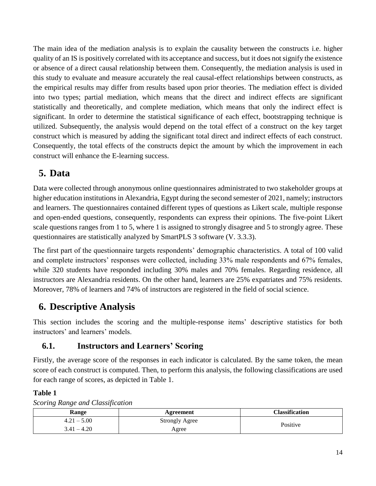The main idea of the mediation analysis is to explain the causality between the constructs i.e. higher quality of an IS is positively correlated with its acceptance and success, but it does not signify the existence or absence of a direct causal relationship between them. Consequently, the mediation analysis is used in this study to evaluate and measure accurately the real causal-effect relationships between constructs, as the empirical results may differ from results based upon prior theories. The mediation effect is divided into two types; partial mediation, which means that the direct and indirect effects are significant statistically and theoretically, and complete mediation, which means that only the indirect effect is significant. In order to determine the statistical significance of each effect, bootstrapping technique is utilized. Subsequently, the analysis would depend on the total effect of a construct on the key target construct which is measured by adding the significant total direct and indirect effects of each construct. Consequently, the total effects of the constructs depict the amount by which the improvement in each construct will enhance the E-learning success.

# **5. Data**

Data were collected through anonymous online questionnaires administrated to two stakeholder groups at higher education institutions in Alexandria, Egypt during the second semester of 2021, namely; instructors and learners. The questionnaires contained different types of questions as Likert scale, multiple response and open-ended questions, consequently, respondents can express their opinions. The five-point Likert scale questions ranges from 1 to 5, where 1 is assigned to strongly disagree and 5 to strongly agree. These questionnaires are statistically analyzed by SmartPLS 3 software (V. 3.3.3).

The first part of the questionnaire targets respondents' demographic characteristics. A total of 100 valid and complete instructors' responses were collected, including 33% male respondents and 67% females, while 320 students have responded including 30% males and 70% females. Regarding residence, all instructors are Alexandria residents. On the other hand, learners are 25% expatriates and 75% residents. Moreover, 78% of learners and 74% of instructors are registered in the field of social science.

# **6. Descriptive Analysis**

This section includes the scoring and the multiple-response items' descriptive statistics for both instructors' and learners' models.

# **6.1. Instructors and Learners' Scoring**

Firstly, the average score of the responses in each indicator is calculated. By the same token, the mean score of each construct is computed. Then, to perform this analysis, the following classifications are used for each range of scores, as depicted in Table 1.

## **Table 1**

*Scoring Range and Classification*

| Range         | Agreement             | <b>Classification</b> |
|---------------|-----------------------|-----------------------|
| $4.21 - 5.00$ | <b>Strongly Agree</b> | Positive              |
| $3.41 - 4.20$ | Agree                 |                       |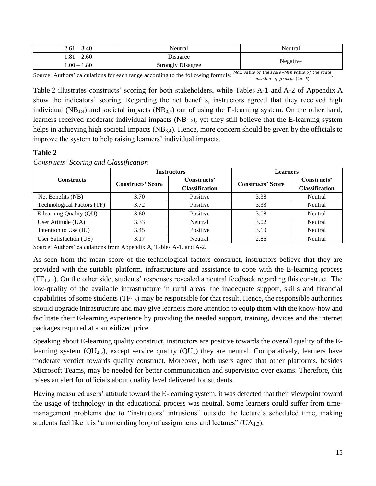| $2.61 - 3.40$ | Neutral                  | Neutral  |
|---------------|--------------------------|----------|
| $1.81 - 2.60$ | Disagree                 | Negative |
| $1.00-1.80$   | <b>Strongly Disagree</b> |          |

Source: Authors' calculations for each range according to the following formula:  $\frac{Max \ value \ of \ the \ scale - Min \ value \ of \ the \ scale}{number \ of \ groups (i.e. \ 5)}$ .

Table 2 illustrates constructs' scoring for both stakeholders, while Tables A-1 and A-2 of Appendix A show the indicators' scoring. Regarding the net benefits, instructors agreed that they received high individual ( $NB<sub>1:4</sub>$ ) and societal impacts ( $NB<sub>3,4</sub>$ ) out of using the E-learning system. On the other hand, learners received moderate individual impacts  $(NB_{1,2})$ , yet they still believe that the E-learning system helps in achieving high societal impacts (NB<sub>3,4</sub>). Hence, more concern should be given by the officials to improve the system to help raising learners' individual impacts.

### **Table 2**

|                                   |                          | <b>Instructors</b>                   | <b>Learners</b>          |                                      |  |
|-----------------------------------|--------------------------|--------------------------------------|--------------------------|--------------------------------------|--|
| <b>Constructs</b>                 | <b>Constructs' Score</b> | Constructs'<br><b>Classification</b> | <b>Constructs' Score</b> | Constructs'<br><b>Classification</b> |  |
| Net Benefits (NB)                 | 3.70                     | Positive                             | 3.38                     | Neutral                              |  |
| <b>Technological Factors (TF)</b> | 3.72                     | Positive                             | 3.33                     | Neutral                              |  |
| E-learning Quality (QU)           | 3.60                     | Positive                             | 3.08                     | Neutral                              |  |
| User Attitude (UA)                | 3.33                     | <b>Neutral</b>                       | 3.02                     | Neutral                              |  |
| Intention to Use (IU)             | 3.45                     | Positive                             | 3.19                     | Neutral                              |  |
| User Satisfaction (US)            | 3.17                     | Neutral                              | 2.86                     | Neutral                              |  |

*Constructs' Scoring and Classification*

Source: Authors' calculations from Appendix A, Tables A-1, and A-2.

As seen from the mean score of the technological factors construct, instructors believe that they are provided with the suitable platform, infrastructure and assistance to cope with the E-learning process  $(TF_{1,2,4})$ . On the other side, students' responses revealed a neutral feedback regarding this construct. The low-quality of the available infrastructure in rural areas, the inadequate support, skills and financial capabilities of some students  $(TF_{1:5})$  may be responsible for that result. Hence, the responsible authorities should upgrade infrastructure and may give learners more attention to equip them with the know-how and facilitate their E-learning experience by providing the needed support, training, devices and the internet packages required at a subsidized price.

Speaking about E-learning quality construct, instructors are positive towards the overall quality of the Elearning system  $(QU_{2:5})$ , except service quality  $(QU_1)$  they are neutral. Comparatively, learners have moderate verdict towards quality construct. Moreover, both users agree that other platforms, besides Microsoft Teams, may be needed for better communication and supervision over exams. Therefore, this raises an alert for officials about quality level delivered for students.

Having measured users' attitude toward the E-learning system, it was detected that their viewpoint toward the usage of technology in the educational process was neutral. Some learners could suffer from timemanagement problems due to "instructors' intrusions" outside the lecture's scheduled time, making students feel like it is "a nonending loop of assignments and lectures"  $(UA_{1,3})$ .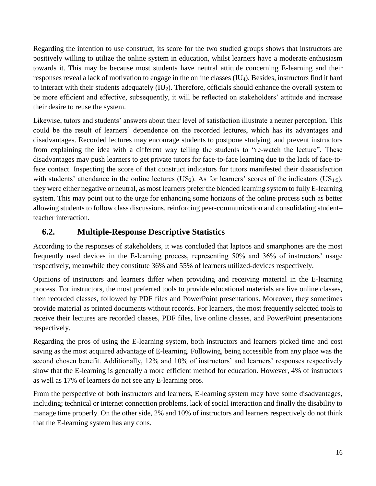Regarding the intention to use construct, its score for the two studied groups shows that instructors are positively willing to utilize the online system in education, whilst learners have a moderate enthusiasm towards it. This may be because most students have neutral attitude concerning E-learning and their responses reveal a lack of motivation to engage in the online classes (IU4). Besides, instructors find it hard to interact with their students adequately (IU<sub>2</sub>). Therefore, officials should enhance the overall system to be more efficient and effective, subsequently, it will be reflected on stakeholders' attitude and increase their desire to reuse the system.

Likewise, tutors and students' answers about their level of satisfaction illustrate a neuter perception. This could be the result of learners' dependence on the recorded lectures, which has its advantages and disadvantages. Recorded lectures may encourage students to postpone studying, and prevent instructors from explaining the idea with a different way telling the students to "re-watch the lecture". These disadvantages may push learners to get private tutors for face-to-face learning due to the lack of face-toface contact. Inspecting the score of that construct indicators for tutors manifested their dissatisfaction with students' attendance in the online lectures (US<sub>2</sub>). As for learners' scores of the indicators (US<sub>1:5</sub>), they were either negative or neutral, as most learners prefer the blended learning system to fully E-learning system. This may point out to the urge for enhancing some horizons of the online process such as better allowing students to follow class discussions, reinforcing peer-communication and consolidating student– teacher interaction.

# **6.2. Multiple-Response Descriptive Statistics**

According to the responses of stakeholders, it was concluded that laptops and smartphones are the most frequently used devices in the E-learning process, representing 50% and 36% of instructors' usage respectively, meanwhile they constitute 36% and 55% of learners utilized-devices respectively.

Opinions of instructors and learners differ when providing and receiving material in the E-learning process. For instructors, the most preferred tools to provide educational materials are live online classes, then recorded classes, followed by PDF files and PowerPoint presentations. Moreover, they sometimes provide material as printed documents without records. For learners, the most frequently selected tools to receive their lectures are recorded classes, PDF files, live online classes, and PowerPoint presentations respectively.

Regarding the pros of using the E-learning system, both instructors and learners picked time and cost saving as the most acquired advantage of E-learning. Following, being accessible from any place was the second chosen benefit. Additionally, 12% and 10% of instructors' and learners' responses respectively show that the E-learning is generally a more efficient method for education. However, 4% of instructors as well as 17% of learners do not see any E-learning pros.

From the perspective of both instructors and learners, E-learning system may have some disadvantages, including; technical or internet connection problems, lack of social interaction and finally the disability to manage time properly. On the other side, 2% and 10% of instructors and learners respectively do not think that the E-learning system has any cons.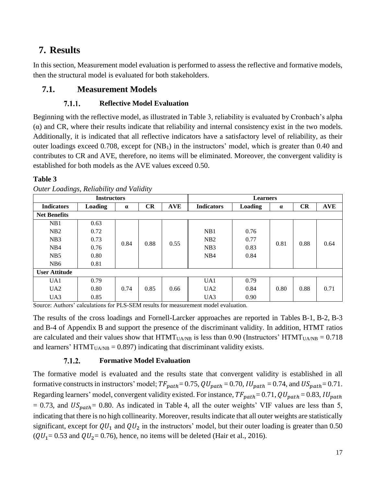# **7. Results**

In this section, Measurement model evaluation is performed to assess the reflective and formative models, then the structural model is evaluated for both stakeholders.

# **7.1. Measurement Models**

### $7.1.1.$ **Reflective Model Evaluation**

Beginning with the reflective model, as illustrated in Table 3, reliability is evaluated by Cronbach's alpha  $\alpha$ ) and CR, where their results indicate that reliability and internal consistency exist in the two models. Additionally, it is indicated that all reflective indicators have a satisfactory level of reliability, as their outer loadings exceed 0.708, except for (NB<sub>1</sub>) in the instructors' model, which is greater than 0.40 and contributes to CR and AVE, therefore, no items will be eliminated. Moreover, the convergent validity is established for both models as the AVE values exceed 0.50.

## **Table 3**

| <b>Instructors</b>   |                |          |           |            | <b>Learners</b>   |                |          |           |            |     |      |  |  |  |
|----------------------|----------------|----------|-----------|------------|-------------------|----------------|----------|-----------|------------|-----|------|--|--|--|
| <b>Indicators</b>    | <b>Loading</b> | $\alpha$ | <b>CR</b> | <b>AVE</b> | <b>Indicators</b> | <b>Loading</b> | $\alpha$ | <b>CR</b> | <b>AVE</b> |     |      |  |  |  |
| <b>Net Benefits</b>  |                |          |           |            |                   |                |          |           |            |     |      |  |  |  |
| NB1                  | 0.63           |          |           |            |                   |                |          |           |            |     |      |  |  |  |
| NB2                  | 0.72           |          |           |            | NB1               | 0.76           |          |           |            |     |      |  |  |  |
| NB3                  | 0.73           | 0.84     | 0.88      | 0.55       | NB2               | 0.77           | 0.81     | 0.88      | 0.64       |     |      |  |  |  |
| NB <sub>4</sub>      | 0.76           |          |           |            | N <sub>B</sub> 3  | 0.83           |          |           |            |     |      |  |  |  |
| NB <sub>5</sub>      | 0.80           |          |           |            |                   |                |          |           |            | NB4 | 0.84 |  |  |  |
| NB <sub>6</sub>      | 0.81           |          |           |            |                   |                |          |           |            |     |      |  |  |  |
| <b>User Attitude</b> |                |          |           |            |                   |                |          |           |            |     |      |  |  |  |
| UA1                  | 0.79           |          |           |            | UA1               | 0.79           |          |           |            |     |      |  |  |  |
| UA2                  | 0.80           | 0.74     | 0.85      | 0.66       | UA <sub>2</sub>   | 0.84           | 0.80     | 0.88      | 0.71       |     |      |  |  |  |
| UA3                  | 0.85           |          |           |            | UA3               | 0.90           |          |           |            |     |      |  |  |  |

*Outer Loadings, Reliability and Validity*

Source: Authors' calculations for PLS-SEM results for measurement model evaluation.

The results of the cross loadings and Fornell-Larcker approaches are reported in Tables B-1, B-2, B-3 and B-4 of Appendix B and support the presence of the discriminant validity. In addition, HTMT ratios are calculated and their values show that  $HTMT<sub>UAND</sub>$  is less than 0.90 (Instructors'  $HTMT<sub>UAND</sub> = 0.718$ and learners' HTMT<sub>UA/NB</sub> = 0.897) indicating that discriminant validity exists.

#### 7.1.2. **Formative Model Evaluation**

The formative model is evaluated and the results state that convergent validity is established in all formative constructs in instructors' model;  $TF_{path} = 0.75$ ,  $QU_{path} = 0.70$ ,  $IU_{path} = 0.74$ , and  $US_{path} = 0.71$ . Regarding learners' model, convergent validity existed. For instance,  $TF_{path} = 0.71$ ,  $QU_{path} = 0.83$ ,  $IU_{path}$  $= 0.73$ , and  $US_{math} = 0.80$ . As indicated in Table 4, all the outer weights' VIF values are less than 5, indicating that there is no high collinearity. Moreover, results indicate that all outer weights are statistically significant, except for  $QU_1$  and  $QU_2$  in the instructors' model, but their outer loading is greater than 0.50  $(QU<sub>1</sub>= 0.53$  and  $QU<sub>2</sub>= 0.76)$ , hence, no items will be deleted (Hair et al., 2016).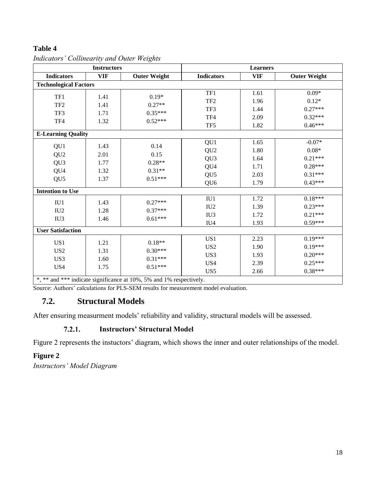## **Table 4**

|                              | <b>Instructors</b> |                                                                     |                   | <b>Learners</b> |                     |  |
|------------------------------|--------------------|---------------------------------------------------------------------|-------------------|-----------------|---------------------|--|
| <b>Indicators</b>            | <b>VIF</b>         | <b>Outer Weight</b>                                                 | <b>Indicators</b> | <b>VIF</b>      | <b>Outer Weight</b> |  |
| <b>Technological Factors</b> |                    |                                                                     |                   |                 |                     |  |
| TF1                          | 1.41               | $0.19*$                                                             | TF1               | 1.61            | $0.09*$             |  |
|                              |                    |                                                                     | TF <sub>2</sub>   | 1.96            | $0.12*$             |  |
| TF <sub>2</sub>              | 1.41               | $0.27**$                                                            | TF3               | 1.44            | $0.27***$           |  |
| TF3                          | 1.71               | $0.35***$                                                           | TF4               | 2.09            | $0.32***$           |  |
| TF4                          | 1.32               | $0.52***$                                                           | TF <sub>5</sub>   | 1.82            | $0.46***$           |  |
| <b>E-Learning Quality</b>    |                    |                                                                     |                   |                 |                     |  |
|                              |                    |                                                                     | QU1               | 1.65            | $-0.07*$            |  |
| QU1                          | 1.43               | 0.14<br>0.15<br>$0.28**$<br>$0.31**$                                | QU <sub>2</sub>   | 1.80            | $0.08*$             |  |
| QU <sub>2</sub>              | 2.01               |                                                                     | QU <sub>3</sub>   | 1.64            | $0.21***$           |  |
| QU <sub>3</sub>              | 1.77               |                                                                     | QU4               | 1.71            | $0.28***$           |  |
| QU4                          | 1.32               |                                                                     | QU <sub>5</sub>   | 2.03            | $0.31***$           |  |
| QU <sub>5</sub>              | 1.37               | $0.51***$                                                           | QU <sub>6</sub>   | 1.79            | $0.43***$           |  |
| <b>Intention to Use</b>      |                    |                                                                     |                   |                 |                     |  |
| IU1                          | 1.43               | $0.27***$                                                           | IU1               | 1.72            | $0.18***$           |  |
| IU <sub>2</sub>              | 1.28               | $0.37***$                                                           | IU2               | 1.39            | $0.23***$           |  |
| IU <sub>3</sub>              | 1.46               | $0.61***$                                                           | IU <sub>3</sub>   | 1.72            | $0.21***$           |  |
|                              |                    |                                                                     | IU <sub>4</sub>   | 1.93            | $0.59***$           |  |
| <b>User Satisfaction</b>     |                    |                                                                     |                   |                 |                     |  |
| US <sub>1</sub>              | 1.21               | $0.18**$                                                            | US1               | 2.23            | $0.19***$           |  |
| US <sub>2</sub>              | 1.31               | $0.30***$                                                           | US <sub>2</sub>   | 1.90            | $0.19***$           |  |
| US3                          | 1.60               | $0.31***$                                                           | US3               | 1.93            | $0.20***$           |  |
| US4                          | 1.75               | $0.51***$                                                           | US4               | 2.39            | $0.25***$           |  |
|                              |                    |                                                                     | US5               | 2.66            | $0.38***$           |  |
|                              |                    | *, ** and *** indicate significance at 10%, 5% and 1% respectively. |                   |                 |                     |  |

*Indicators' Collinearity and Outer Weights*

Source: Authors' calculations for PLS-SEM results for measurement model evaluation.

## **7.2. Structural Models**

After ensuring measurment models' reliability and validity, structural models will be assessed.

#### $7.2.1.$ **Instructors' Structural Model**

Figure 2 represents the instuctors' diagram, which shows the inner and outer relationships of the model.

## **Figure 2**

*Instructors' Model Diagram*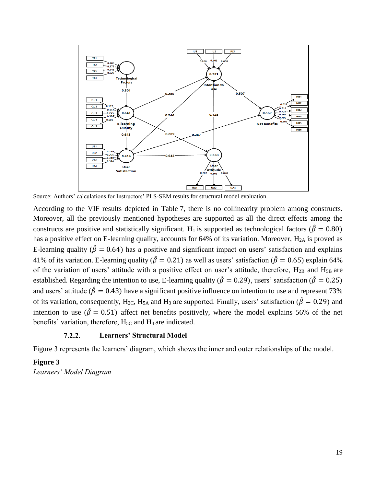

Source: Authors' calculations for Instructors' PLS-SEM results for structural model evaluation.

According to the VIF results depicted in Table 7, there is no collinearity problem among constructs. Moreover, all the previously mentioned hypotheses are supported as all the direct effects among the constructs are positive and statistically significant. H<sub>1</sub> is supported as technological factors ( $\hat{\beta} = 0.80$ ) has a positive effect on E-learning quality, accounts for 64% of its variation. Moreover, H<sub>2A</sub> is proved as E-learning quality ( $\hat{\beta} = 0.64$ ) has a positive and significant impact on users' satisfaction and explains 41% of its variation. E-learning quality ( $\hat{\beta} = 0.21$ ) as well as users' satisfaction ( $\hat{\beta} = 0.65$ ) explain 64% of the variation of users' attitude with a positive effect on user's attitude, therefore,  $H_{2B}$  and  $H_{5B}$  are established. Regarding the intention to use, E-learning quality ( $\hat{\beta} = 0.29$ ), users' satisfaction ( $\hat{\beta} = 0.25$ ) and users' attitude ( $\hat{\beta} = 0.43$ ) have a significant positive influence on intention to use and represent 73% of its variation, consequently, H<sub>2C</sub>, H<sub>5A</sub> and H<sub>3</sub> are supported. Finally, users' satisfaction ( $\hat{\beta} = 0.29$ ) and intention to use ( $\hat{\beta} = 0.51$ ) affect net benefits positively, where the model explains 56% of the net benefits' variation, therefore,  $H<sub>5C</sub>$  and  $H<sub>4</sub>$  are indicated.

#### $7.2.2.$ **Learners' Structural Model**

Figure 3 represents the learners' diagram, which shows the inner and outer relationships of the model.

### **Figure 3**

*Learners' Model Diagram*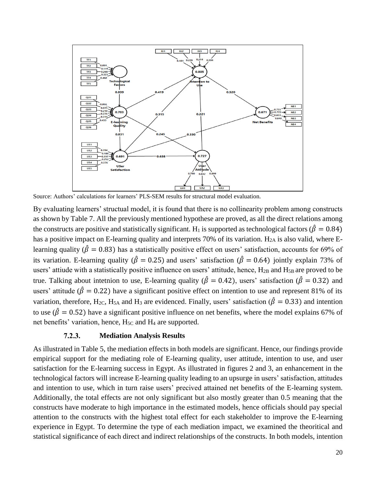

Source: Authors' calculations for learners' PLS-SEM results for structural model evaluation.

By evaluating learners' structual model, it is found that there is no collinearity problem among constructs as shown by Table 7. All the previously mentioned hypothese are proved, as all the direct relations among the constructs are positive and statistically significant. H<sub>1</sub> is supported as technological factors ( $\hat{\beta} = 0.84$ ) has a positive impact on E-learning quality and interprets 70% of its variation. H<sub>2A</sub> is also valid, where Elearning quality ( $\hat{\beta} = 0.83$ ) has a statistically positive effect on users' satisfaction, accounts for 69% of its variation. E-learning quality ( $\hat{\beta} = 0.25$ ) and users' satisfaction ( $\hat{\beta} = 0.64$ ) jointly explain 73% of users' attiude with a statistically positive influence on users' attitude, hence, H<sub>2B</sub> and H<sub>5B</sub> are proved to be true. Talking about intetnion to use, E-learning quality ( $\hat{\beta} = 0.42$ ), users' satisfaction ( $\hat{\beta} = 0.32$ ) and users' attitude ( $\hat{\beta} = 0.22$ ) have a significant positive effect on intention to use and represent 81% of its variation, therefore, H<sub>2C</sub>, H<sub>5A</sub> and H<sub>3</sub> are evidenced. Finally, users' satisfaction ( $\hat{\beta} = 0.33$ ) and intention to use ( $\hat{\beta} = 0.52$ ) have a significant positive influence on net benefits, where the model explains 67% of net benefits' variation, hence,  $H<sub>5C</sub>$  and  $H<sub>4</sub>$  are supported.

#### $7.2.3.$ **Mediation Analysis Results**

As illustrated in Table 5, the mediation effects in both models are significant. Hence, our findings provide empirical support for the mediating role of E-learning quality, user attitude, intention to use, and user satisfaction for the E-learning success in Egypt. As illustrated in figures 2 and 3, an enhancement in the technological factors will increase E-learning quality leading to an upsurge in users' satisfaction, attitudes and intention to use, which in turn raise users' precived attained net benefits of the E-learning system. Additionally, the total effects are not only significant but also mostly greater than 0.5 meaning that the constructs have moderate to high importance in the estimated models, hence officials should pay special attention to the constructs with the highest total effect for each stakeholder to improve the E-learning experience in Egypt. To determine the type of each mediation impact, we examined the theoritical and statistical significance of each direct and indirect relationships of the constructs. In both models, intention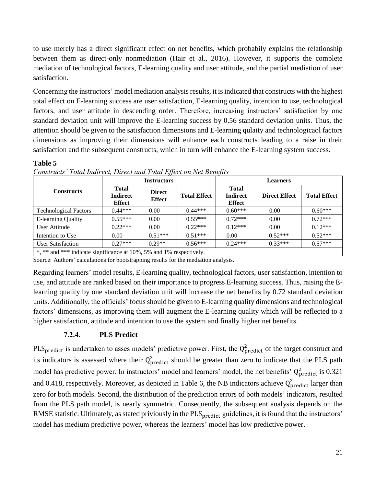to use merely has a direct significant effect on net benefits, which probabily explains the relationship between them as direct-only nonmediation (Hair et al., 2016). However, it supports the complete mediation of technological factors, E-learning quality and user attitude, and the partial mediation of user satisfaction.

Concerning the instructors' model mediation analysis results, it is indicated that constructs with the highest total effect on E-learning success are user satisfaction, E-learning quality, intention to use, technological factors, and user attitude in descending order. Therefore, increasing instructors' satisfaction by one standard deviation unit will improve the E-learning success by 0.56 standard deviation units. Thus, the attention should be given to the satisfaction dimensions and E-learning qulaity and technologicaol factors dimensions as improving their dimensions will enhance each constructs leading to a raise in their satisfaction and the subsequent constructs, which in turn will enhance the E-learning system success.

### **Table 5**

|                                                                     |                                                  | <b>Instructors</b>             |                     | <b>Learners</b>                           |                      |                     |  |
|---------------------------------------------------------------------|--------------------------------------------------|--------------------------------|---------------------|-------------------------------------------|----------------------|---------------------|--|
| <b>Constructs</b>                                                   | <b>Total</b><br><b>Indirect</b><br><b>Effect</b> | <b>Direct</b><br><b>Effect</b> | <b>Total Effect</b> | <b>Total</b><br>Indirect<br><b>Effect</b> | <b>Direct Effect</b> | <b>Total Effect</b> |  |
| <b>Technological Factors</b>                                        | $0.44***$                                        | 0.00                           | $0.44***$           | $0.60***$                                 | 0.00                 | $0.60***$           |  |
| E-learning Quality                                                  | $0.55***$                                        | 0.00                           | $0.55***$           | $0.72***$                                 | 0.00                 | $0.72***$           |  |
| User Attitude                                                       | $0.22***$                                        | 0.00                           | $0.22***$           | $0.12***$                                 | 0.00                 | $0.12***$           |  |
| Intention to Use                                                    | 0.00                                             | $0.51***$                      | $0.51***$           | 0.00                                      | $0.52***$            | $0.52***$           |  |
| <b>User Satisfaction</b>                                            | $0.27***$                                        | $0.29**$                       | $0.56***$           | $0.24***$                                 | $0.33***$            | $0.57***$           |  |
| *, ** and *** indicate significance at 10%, 5% and 1% respectively. |                                                  |                                |                     |                                           |                      |                     |  |

*Constructs' Total Indirect, Direct and Total Effect on Net Benefits*

Source: Authors' calculations for bootstrapping results for the mediation analysis.

Regarding learners' model results, E-learning quality, technological factors, user satisfaction, intention to use, and attitude are ranked based on their importance to progress E-learning success. Thus, raising the Elearning quality by one standard deviation unit will increase the net benefits by 0.72 standard deviation units. Additionally, the officials' focus should be given to E-learning quality dimensions and technological factors' dimensions, as improving them will augment the E-learning quality which will be reflected to a higher satisfaction, attitude and intention to use the system and finally higher net benefits.

#### $7.2.4.$ **PLS Predict**

PLS<sub>predict</sub> is undertaken to asses models' predictive power. First, the  $Q_{predict}^2$  of the target construct and its indicators is assessed where their  $Q_{predict}^2$  should be greater than zero to indicate that the PLS path model has predictive power. In instructors' model and learners' model, the net benefits'  $Q_{predict}^2$  is 0.321 and 0.418, respectively. Moreover, as depicted in Table 6, the NB indicators achieve  $Q<sub>predict</sub><sup>2</sup>$  larger than zero for both models. Second, the distribution of the prediction errors of both models' indicators, resulted from the PLS path model, is nearly symmetric. Consequently, the subsequent analysis depends on the RMSE statistic. Ultimately, as stated priviously in the PLS<sub>predict</sub> guidelines, it is found that the instructors' model has medium predictive power, whereas the learners' model has low predictive power.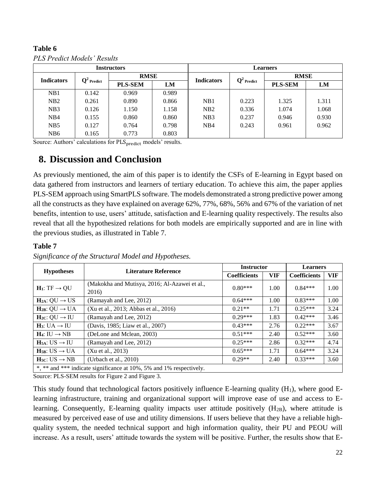### **Table 6** *PLS Predict Models' Results*

| <b>Instructors</b> |                        |                |       |                   | <b>Learners</b>        |                |       |  |
|--------------------|------------------------|----------------|-------|-------------------|------------------------|----------------|-------|--|
| <b>Indicators</b>  | $\mathbf{Q}^2$ Predict | <b>RMSE</b>    |       | <b>Indicators</b> | $\mathbf{Q}^2$ Predict | <b>RMSE</b>    |       |  |
|                    |                        | <b>PLS-SEM</b> | LM    |                   |                        | <b>PLS-SEM</b> | LM    |  |
| NB1                | 0.142                  | 0.969          | 0.989 |                   |                        |                |       |  |
| NB2                | 0.261                  | 0.890          | 0.866 | NB1               | 0.223                  | 1.325          | 1.311 |  |
| NB <sub>3</sub>    | 0.126                  | 1.150          | 1.158 | NB2               | 0.336                  | 1.074          | 1.068 |  |
| N <sub>B</sub> 4   | 0.155                  | 0.860          | 0.860 | N <sub>B</sub> 3  | 0.237                  | 0.946          | 0.930 |  |
| NB <sub>5</sub>    | 0.127                  | 0.764          | 0.798 | NB4               | 0.243                  | 0.961          | 0.962 |  |
| N <sub>B6</sub>    | 0.165                  | 0.773          | 0.803 |                   |                        |                |       |  |

Source: Authors' calculations for PLS<sub>predict</sub> models' results.

# **8. Discussion and Conclusion**

As previously mentioned, the aim of this paper is to identify the CSFs of E-learning in Egypt based on data gathered from instructors and learners of tertiary education. To achieve this aim, the paper applies PLS-SEM approach using SmartPLS software. The models demonstrated a strong predictive power among all the constructs as they have explained on average 62%, 77%, 68%, 56% and 67% of the variation of net benefits, intention to use, users' attitude, satisfaction and E-learning quality respectively. The results also reveal that all the hypothesized relations for both models are empirically supported and are in line with the previous studies, as illustrated in Table 7.

## **Table 7**

| <b>Hypotheses</b>              | <b>Literature Reference</b>                                         | <b>Instructor</b>   |      | <b>Learners</b>     |            |
|--------------------------------|---------------------------------------------------------------------|---------------------|------|---------------------|------------|
|                                |                                                                     | <b>Coefficients</b> |      | <b>Coefficients</b> | <b>VIF</b> |
| $H_1: TF \rightarrow QU$       | (Makokha and Mutisya, 2016; Al-Azawei et al.,<br>2016)              | $0.80***$           | 1.00 | $0.84***$           | 1.00       |
| $H_{2A}: QU \rightarrow US$    | (Ramayah and Lee, 2012)                                             | $0.64***$           | 1.00 | $0.83***$           | 1.00       |
| $H_{2B}: QU \rightarrow UA$    | (Xu et al., 2013; Abbas et al., 2016)                               | $0.21**$            | 1.71 | $0.25***$           | 3.24       |
| $H_{2C}: QU \rightarrow IU$    | (Ramayah and Lee, 2012)                                             | $0.29***$           | 1.83 | $0.42***$           | 3.46       |
| $H_3: UA \rightarrow IU$       | (Davis, 1985; Liaw et al., 2007)                                    | $0.43***$           | 2.76 | $0.22***$           | 3.67       |
| $H_4: IU \rightarrow NB$       | (DeLone and Mclean, 2003)                                           | $0.51***$           | 2.40 | $0.52***$           | 3.60       |
| $H_{5A}: US \rightarrow IU$    | (Ramayah and Lee, 2012)                                             | $0.25***$           | 2.86 | $0.32***$           | 4.74       |
| $H_{5B}$ : US $\rightarrow$ UA | (Xu et al., 2013)                                                   | $0.65***$           | 1.71 | $0.64***$           | 3.24       |
| $H5C: US \rightarrow NB$       | (Urbach et al., $2010$ )                                            | $0.29**$            | 2.40 | $0.33***$           | 3.60       |
|                                | *, ** and *** indicate significance at 10%, 5% and 1% respectively. |                     |      |                     |            |

*Significance of the Structural Model and Hypotheses.*

Source: PLS-SEM results for Figure 2 and Figure 3.

This study found that technological factors positively influence E-learning quality  $(H_1)$ , where good Elearning infrastructure, training and organizational support will improve ease of use and access to Elearning. Consequently, E-learning quality impacts user attitude positively  $(H_{2B})$ , where attitude is measured by perceived ease of use and utility dimensions. If users believe that they have a reliable highquality system, the needed technical support and high information quality, their PU and PEOU will increase. As a result, users' attitude towards the system will be positive. Further, the results show that E-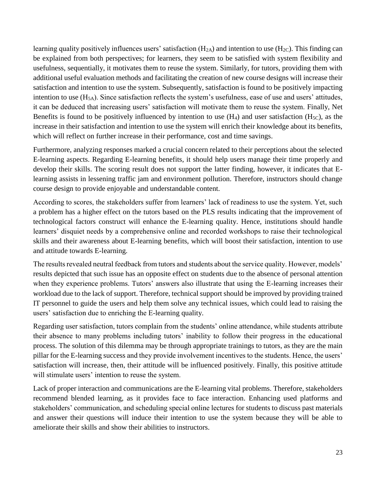learning quality positively influences users' satisfaction  $(H_{2A})$  and intention to use  $(H_{2C})$ . This finding can be explained from both perspectives; for learners, they seem to be satisfied with system flexibility and usefulness, sequentially, it motivates them to reuse the system. Similarly, for tutors, providing them with additional useful evaluation methods and facilitating the creation of new course designs will increase their satisfaction and intention to use the system. Subsequently, satisfaction is found to be positively impacting intention to use  $(H_{5A})$ . Since satisfaction reflects the system's usefulness, ease of use and users' attitudes, it can be deduced that increasing users' satisfaction will motivate them to reuse the system. Finally, Net Benefits is found to be positively influenced by intention to use  $(H_4)$  and user satisfaction  $(H_{5C})$ , as the increase in their satisfaction and intention to use the system will enrich their knowledge about its benefits, which will reflect on further increase in their performance, cost and time savings.

Furthermore, analyzing responses marked a crucial concern related to their perceptions about the selected E-learning aspects. Regarding E-learning benefits, it should help users manage their time properly and develop their skills. The scoring result does not support the latter finding, however, it indicates that Elearning assists in lessening traffic jam and environment pollution. Therefore, instructors should change course design to provide enjoyable and understandable content.

According to scores, the stakeholders suffer from learners' lack of readiness to use the system. Yet, such a problem has a higher effect on the tutors based on the PLS results indicating that the improvement of technological factors construct will enhance the E-learning quality. Hence, institutions should handle learners' disquiet needs by a comprehensive online and recorded workshops to raise their technological skills and their awareness about E-learning benefits, which will boost their satisfaction, intention to use and attitude towards E-learning.

The results revealed neutral feedback from tutors and students about the service quality. However, models' results depicted that such issue has an opposite effect on students due to the absence of personal attention when they experience problems. Tutors' answers also illustrate that using the E-learning increases their workload due to the lack of support. Therefore, technical support should be improved by providing trained IT personnel to guide the users and help them solve any technical issues, which could lead to raising the users' satisfaction due to enriching the E-learning quality.

Regarding user satisfaction, tutors complain from the students' online attendance, while students attribute their absence to many problems including tutors' inability to follow their progress in the educational process. The solution of this dilemma may be through appropriate trainings to tutors, as they are the main pillar for the E-learning success and they provide involvement incentives to the students. Hence, the users' satisfaction will increase, then, their attitude will be influenced positively. Finally, this positive attitude will stimulate users' intention to reuse the system.

Lack of proper interaction and communications are the E-learning vital problems. Therefore, stakeholders recommend blended learning, as it provides face to face interaction. Enhancing used platforms and stakeholders' communication, and scheduling special online lectures for students to discuss past materials and answer their questions will induce their intention to use the system because they will be able to ameliorate their skills and show their abilities to instructors.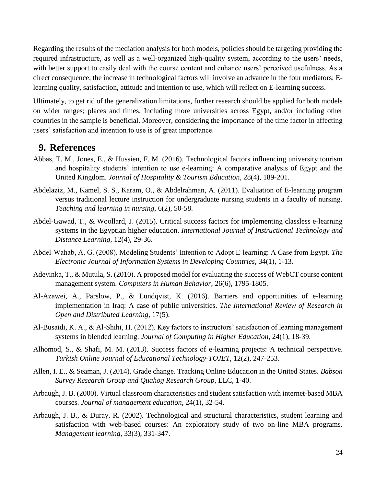Regarding the results of the mediation analysis for both models, policies should be targeting providing the required infrastructure, as well as a well-organized high-quality system, according to the users' needs, with better support to easily deal with the course content and enhance users' perceived usefulness. As a direct consequence, the increase in technological factors will involve an advance in the four mediators; Elearning quality, satisfaction, attitude and intention to use, which will reflect on E-learning success.

Ultimately, to get rid of the generalization limitations, further research should be applied for both models on wider ranges; places and times. Including more universities across Egypt, and/or including other countries in the sample is beneficial. Moreover, considering the importance of the time factor in affecting users' satisfaction and intention to use is of great importance.

## **9. References**

- Abbas, T. M., Jones, E., & Hussien, F. M. (2016). Technological factors influencing university tourism and hospitality students' intention to use e-learning: A comparative analysis of Egypt and the United Kingdom. *Journal of Hospitality & Tourism Education*, 28(4), 189-201.
- Abdelaziz, M., Kamel, S. S., Karam, O., & Abdelrahman, A. (2011). Evaluation of E-learning program versus traditional lecture instruction for undergraduate nursing students in a faculty of nursing. *Teaching and learning in nursing*, 6(2), 50-58.
- Abdel-Gawad, T., & Woollard, J. (2015). Critical success factors for implementing classless e-learning systems in the Egyptian higher education. *International Journal of Instructional Technology and Distance Learning*, 12(4), 29-36.
- Abdel‐Wahab, A. G. (2008). Modeling Students' Intention to Adopt E‐learning: A Case from Egypt*. The Electronic Journal of Information Systems in Developing Countries*, 34(1), 1-13.
- Adeyinka, T., & Mutula, S. (2010). A proposed model for evaluating the success of WebCT course content management system. *Computers in Human Behavior*, 26(6), 1795-1805.
- Al-Azawei, A., Parslow, P., & Lundqvist, K. (2016). Barriers and opportunities of e-learning implementation in Iraq: A case of public universities. *The International Review of Research in Open and Distributed Learning*, 17(5).
- Al-Busaidi, K. A., & Al-Shihi, H. (2012). Key factors to instructors' satisfaction of learning management systems in blended learning. *Journal of Computing in Higher Education*, 24(1), 18-39.
- Alhomod, S., & Shafi, M. M. (2013). Success factors of e-learning projects: A technical perspective. *Turkish Online Journal of Educational Technology-TOJET*, 12(2), 247-253.
- Allen, I. E., & Seaman, J. (2014). Grade change. Tracking Online Education in the United States. *Babson Survey Research Group and Quahog Research Group*, LLC, 1-40.
- Arbaugh, J. B. (2000). Virtual classroom characteristics and student satisfaction with internet-based MBA courses. *Journal of management education*, 24(1), 32-54.
- Arbaugh, J. B., & Duray, R. (2002). Technological and structural characteristics, student learning and satisfaction with web-based courses: An exploratory study of two on-line MBA programs. *Management learning*, 33(3), 331-347.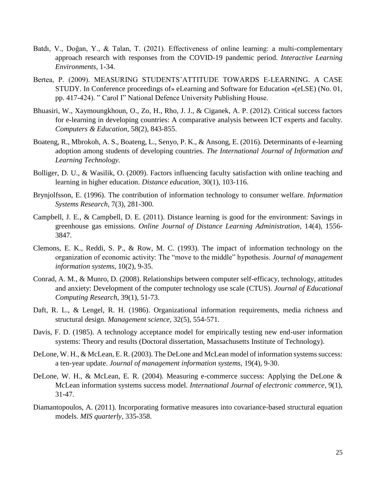- Batdı, V., Doğan, Y., & Talan, T. (2021). Effectiveness of online learning: a multi-complementary approach research with responses from the COVID-19 pandemic period. *Interactive Learning Environments*, 1-34.
- Bertea, P. (2009). MEASURING STUDENTS'ATTITUDE TOWARDS E-LEARNING. A CASE STUDY. In Conference proceedings of» eLearning and Software for Education «(eLSE) (No. 01, pp. 417-424). " Carol I" National Defence University Publishing House.
- Bhuasiri, W., Xaymoungkhoun, O., Zo, H., Rho, J. J., & Ciganek, A. P. (2012). Critical success factors for e-learning in developing countries: A comparative analysis between ICT experts and faculty. *Computers & Education*, 58(2), 843-855.
- Boateng, R., Mbrokoh, A. S., Boateng, L., Senyo, P. K., & Ansong, E. (2016). Determinants of e-learning adoption among students of developing countries. *The International Journal of Information and Learning Technology*.
- Bolliger, D. U., & Wasilik, O. (2009). Factors influencing faculty satisfaction with online teaching and learning in higher education. *Distance education*, 30(1), 103-116.
- Brynjolfsson, E. (1996). The contribution of information technology to consumer welfare. *Information Systems Research*, 7(3), 281-300.
- Campbell, J. E., & Campbell, D. E. (2011). Distance learning is good for the environment: Savings in greenhouse gas emissions. *Online Journal of Distance Learning Administration*, 14(4), 1556- 3847.
- Clemons, E. K., Reddi, S. P., & Row, M. C. (1993). The impact of information technology on the organization of economic activity: The "move to the middle" hypothesis. *Journal of management information systems*, 10(2), 9-35.
- Conrad, A. M., & Munro, D. (2008). Relationships between computer self-efficacy, technology, attitudes and anxiety: Development of the computer technology use scale (CTUS). *Journal of Educational Computing Research*, 39(1), 51-73.
- Daft, R. L., & Lengel, R. H. (1986). Organizational information requirements, media richness and structural design. *Management science*, 32(5), 554-571.
- Davis, F. D. (1985). A technology acceptance model for empirically testing new end-user information systems: Theory and results (Doctoral dissertation, Massachusetts Institute of Technology).
- DeLone, W. H., & McLean, E. R. (2003). The DeLone and McLean model of information systems success: a ten-year update. *Journal of management information systems,* 19(4), 9-30.
- DeLone, W. H., & McLean, E. R. (2004). Measuring e-commerce success: Applying the DeLone & McLean information systems success model. *International Journal of electronic commerce*, 9(1), 31-47.
- Diamantopoulos, A. (2011). Incorporating formative measures into covariance-based structural equation models. *MIS quarterly*, 335-358.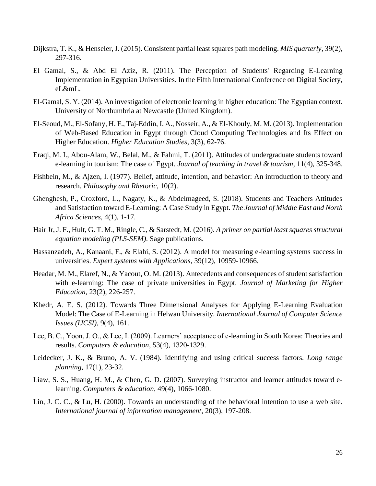- Dijkstra, T. K., & Henseler, J. (2015). Consistent partial least squares path modeling. *MIS quarterly*, 39(2), 297-316.
- El Gamal, S., & Abd El Aziz, R. (2011). The Perception of Students' Regarding E-Learning Implementation in Egyptian Universities. In the Fifth International Conference on Digital Society, eL&mL.
- El-Gamal, S. Y. (2014). An investigation of electronic learning in higher education: The Egyptian context. University of Northumbria at Newcastle (United Kingdom).
- El-Seoud, M., El-Sofany, H. F., Taj-Eddin, I. A., Nosseir, A., & El-Khouly, M. M. (2013). Implementation of Web-Based Education in Egypt through Cloud Computing Technologies and Its Effect on Higher Education. *Higher Education Studies*, 3(3), 62-76.
- Eraqi, M. I., Abou-Alam, W., Belal, M., & Fahmi, T. (2011). Attitudes of undergraduate students toward e-learning in tourism: The case of Egypt. *Journal of teaching in travel & tourism*, 11(4), 325-348.
- Fishbein, M., & Ajzen, I. (1977). Belief, attitude, intention, and behavior: An introduction to theory and research. *Philosophy and Rhetoric*, 10(2).
- Ghenghesh, P., Croxford, L., Nagaty, K., & Abdelmageed, S. (2018). Students and Teachers Attitudes and Satisfaction toward E-Learning: A Case Study in Egypt. *The Journal of Middle East and North Africa Sciences*, 4(1), 1-17.
- Hair Jr, J. F., Hult, G. T. M., Ringle, C., & Sarstedt, M. (2016). *A primer on partial least squares structural equation modeling (PLS-SEM)*. Sage publications.
- Hassanzadeh, A., Kanaani, F., & Elahi, S. (2012). A model for measuring e-learning systems success in universities. *Expert systems with Applications*, 39(12), 10959-10966.
- Headar, M. M., Elaref, N., & Yacout, O. M. (2013). Antecedents and consequences of student satisfaction with e-learning: The case of private universities in Egypt. *Journal of Marketing for Higher Education*, 23(2), 226-257.
- Khedr, A. E. S. (2012). Towards Three Dimensional Analyses for Applying E-Learning Evaluation Model: The Case of E-Learning in Helwan University. *International Journal of Computer Science Issues (IJCSI)*, 9(4), 161.
- Lee, B. C., Yoon, J. O., & Lee, I. (2009). Learners' acceptance of e-learning in South Korea: Theories and results. *Computers & education*, 53(4), 1320-1329.
- Leidecker, J. K., & Bruno, A. V. (1984). Identifying and using critical success factors. *Long range planning*, 17(1), 23-32.
- Liaw, S. S., Huang, H. M., & Chen, G. D. (2007). Surveying instructor and learner attitudes toward elearning. *Computers & education*, 49(4), 1066-1080.
- Lin, J. C. C., & Lu, H. (2000). Towards an understanding of the behavioral intention to use a web site. *International journal of information management*, 20(3), 197-208.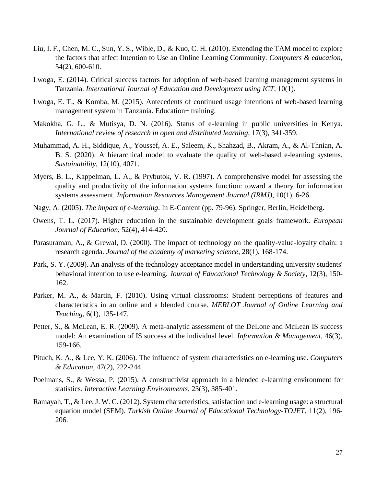- Liu, I. F., Chen, M. C., Sun, Y. S., Wible, D., & Kuo, C. H. (2010). Extending the TAM model to explore the factors that affect Intention to Use an Online Learning Community. *Computers & education*, 54(2), 600-610.
- Lwoga, E. (2014). Critical success factors for adoption of web-based learning management systems in Tanzania. *International Journal of Education and Development using ICT*, 10(1).
- Lwoga, E. T., & Komba, M. (2015). Antecedents of continued usage intentions of web-based learning management system in Tanzania. Education+ training.
- Makokha, G. L., & Mutisya, D. N. (2016). Status of e-learning in public universities in Kenya. *International review of research in open and distributed learning*, 17(3), 341-359.
- Muhammad, A. H., Siddique, A., Youssef, A. E., Saleem, K., Shahzad, B., Akram, A., & Al-Thnian, A. B. S. (2020). A hierarchical model to evaluate the quality of web-based e-learning systems. *Sustainability*, 12(10), 4071.
- Myers, B. L., Kappelman, L. A., & Prybutok, V. R. (1997). A comprehensive model for assessing the quality and productivity of the information systems function: toward a theory for information systems assessment. *Information Resources Management Journal (IRMJ)*, 10(1), 6-26.
- Nagy, A. (2005). *The impact of e-learning*. In E-Content (pp. 79-96). Springer, Berlin, Heidelberg.
- Owens, T. L. (2017). Higher education in the sustainable development goals framework. *European Journal of Education*, 52(4), 414-420.
- Parasuraman, A., & Grewal, D. (2000). The impact of technology on the quality-value-loyalty chain: a research agenda. *Journal of the academy of marketing science*, 28(1), 168-174.
- Park, S. Y. (2009). An analysis of the technology acceptance model in understanding university students' behavioral intention to use e-learning. *Journal of Educational Technology & Society*, 12(3), 150- 162.
- Parker, M. A., & Martin, F. (2010). Using virtual classrooms: Student perceptions of features and characteristics in an online and a blended course. *MERLOT Journal of Online Learning and Teaching*, 6(1), 135-147.
- Petter, S., & McLean, E. R. (2009). A meta-analytic assessment of the DeLone and McLean IS success model: An examination of IS success at the individual level. *Information & Management*, 46(3), 159-166.
- Pituch, K. A., & Lee, Y. K. (2006). The influence of system characteristics on e-learning use. *Computers & Education*, 47(2), 222-244.
- Poelmans, S., & Wessa, P. (2015). A constructivist approach in a blended e-learning environment for statistics. *Interactive Learning Environments*, 23(3), 385-401.
- Ramayah, T., & Lee, J. W. C. (2012). System characteristics, satisfaction and e-learning usage: a structural equation model (SEM). *Turkish Online Journal of Educational Technology-TOJET*, 11(2), 196- 206.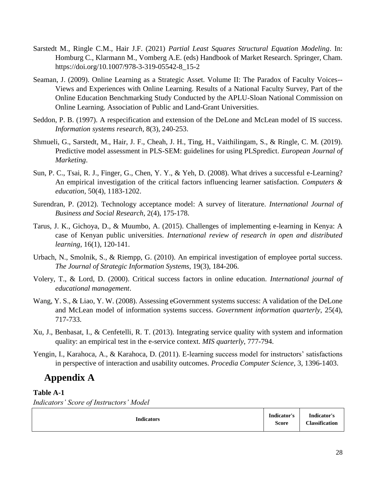- Sarstedt M., Ringle C.M., Hair J.F. (2021) *Partial Least Squares Structural Equation Modeling*. In: Homburg C., Klarmann M., Vomberg A.E. (eds) Handbook of Market Research. Springer, Cham. https://doi.org/10.1007/978-3-319-05542-8\_15-2
- Seaman, J. (2009). Online Learning as a Strategic Asset. Volume II: The Paradox of Faculty Voices-- Views and Experiences with Online Learning. Results of a National Faculty Survey, Part of the Online Education Benchmarking Study Conducted by the APLU-Sloan National Commission on Online Learning. Association of Public and Land-Grant Universities.
- Seddon, P. B. (1997). A respecification and extension of the DeLone and McLean model of IS success. *Information systems research*, 8(3), 240-253.
- Shmueli, G., Sarstedt, M., Hair, J. F., Cheah, J. H., Ting, H., Vaithilingam, S., & Ringle, C. M. (2019). Predictive model assessment in PLS-SEM: guidelines for using PLSpredict. *European Journal of Marketing*.
- Sun, P. C., Tsai, R. J., Finger, G., Chen, Y. Y., & Yeh, D. (2008). What drives a successful e-Learning? An empirical investigation of the critical factors influencing learner satisfaction. *Computers & education*, 50(4), 1183-1202.
- Surendran, P. (2012). Technology acceptance model: A survey of literature. *International Journal of Business and Social Research*, 2(4), 175-178.
- Tarus, J. K., Gichoya, D., & Muumbo, A. (2015). Challenges of implementing e-learning in Kenya: A case of Kenyan public universities. *International review of research in open and distributed learning*, 16(1), 120-141.
- Urbach, N., Smolnik, S., & Riempp, G. (2010). An empirical investigation of employee portal success. *The Journal of Strategic Information Systems*, 19(3), 184-206.
- Volery, T., & Lord, D. (2000). Critical success factors in online education. *International journal of educational management*.
- Wang, Y. S., & Liao, Y. W. (2008). Assessing eGovernment systems success: A validation of the DeLone and McLean model of information systems success. *Government information quarterly*, 25(4), 717-733.
- Xu, J., Benbasat, I., & Cenfetelli, R. T. (2013). Integrating service quality with system and information quality: an empirical test in the e-service context. *MIS quarterly*, 777-794.
- Yengin, I., Karahoca, A., & Karahoca, D. (2011). E-learning success model for instructors' satisfactions in perspective of interaction and usability outcomes. *Procedia Computer Science*, 3, 1396-1403.

# **Appendix A**

### **Table A-1**

*Indicators' Score of Instructors' Model*

| <b>Indicators</b> | Indicator's<br><b>Score</b> | Indicator's<br><b>Classification</b> |
|-------------------|-----------------------------|--------------------------------------|
|-------------------|-----------------------------|--------------------------------------|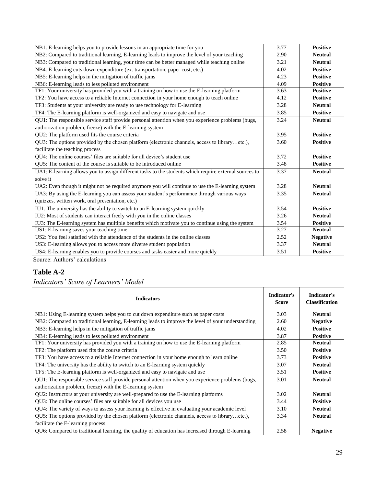| NB1: E-learning helps you to provide lessons in an appropriate time for you                            | 3.77 | <b>Positive</b> |
|--------------------------------------------------------------------------------------------------------|------|-----------------|
| NB2: Compared to traditional learning, E-learning leads to improve the level of your teaching          | 2.90 | <b>Neutral</b>  |
| NB3: Compared to traditional learning, your time can be better managed while teaching online           | 3.21 | <b>Neutral</b>  |
| NB4: E-learning cuts down expenditure (ex: transportation, paper cost, etc.)                           | 4.02 | <b>Positive</b> |
| NB5: E-learning helps in the mitigation of traffic jams                                                | 4.23 | <b>Positive</b> |
| NB6: E-learning leads to less polluted environment                                                     | 4.09 | <b>Positive</b> |
| TF1: Your university has provided you with a training on how to use the E-learning platform            | 3.63 | <b>Positive</b> |
| TF2: You have access to a reliable Internet connection in your home enough to teach online             | 4.12 | <b>Positive</b> |
| TF3: Students at your university are ready to use technology for E-learning                            | 3.28 | <b>Neutral</b>  |
| TF4: The E-learning platform is well-organized and easy to navigate and use                            | 3.85 | <b>Positive</b> |
| QU1: The responsible service staff provide personal attention when you experience problems (bugs,      | 3.24 | <b>Neutral</b>  |
| authorization problem, freeze) with the E-learning system                                              |      |                 |
| QU2: The platform used fits the course criteria                                                        | 3.95 | <b>Positive</b> |
| QU3: The options provided by the chosen platform (electronic channels, access to libraryetc.),         | 3.60 | <b>Positive</b> |
| facilitate the teaching process                                                                        |      |                 |
| QU4: The online courses' files are suitable for all device's student use                               | 3.72 | <b>Positive</b> |
| QU5: The content of the course is suitable to be introduced online                                     | 3.48 | <b>Positive</b> |
| UA1: E-learning allows you to assign different tasks to the students which require external sources to | 3.37 | <b>Neutral</b>  |
| solve it                                                                                               |      |                 |
| UA2: Even though it might not be required anymore you will continue to use the E-learning system       | 3.28 | <b>Neutral</b>  |
| UA3: By using the E-learning you can assess your student's performance through various ways            | 3.35 | <b>Neutral</b>  |
| (quizzes, written work, oral presentation, etc.)                                                       |      |                 |
| IU1: The university has the ability to switch to an E-learning system quickly                          | 3.54 | <b>Positive</b> |
| IU2: Most of students can interact freely with you in the online classes                               | 3.26 | <b>Neutral</b>  |
| IU3: The E-learning system has multiple benefits which motivate you to continue using the system       | 3.54 | <b>Positive</b> |
| US1: E-learning saves your teaching time                                                               | 3.27 | <b>Neutral</b>  |
| US2: You feel satisfied with the attendance of the students in the online classes                      | 2.52 | <b>Negative</b> |
| US3: E-learning allows you to access more diverse student population                                   | 3.37 | <b>Neutral</b>  |
| US4: E-learning enables you to provide courses and tasks easier and more quickly                       | 3.51 | <b>Positive</b> |

Source: Authors' calculations

## **Table A-2**

*Indicators' Score of Learners' Model*

| <b>Indicators</b>                                                                                  | Indicator's<br><b>Score</b> | Indicator's<br><b>Classification</b> |
|----------------------------------------------------------------------------------------------------|-----------------------------|--------------------------------------|
| NB1: Using E-learning system helps you to cut down expenditure such as paper costs                 | 3.03                        | <b>Neutral</b>                       |
| NB2: Compared to traditional learning, E-learning leads to improve the level of your understanding | 2.60                        | <b>Negative</b>                      |
| NB3: E-learning helps in the mitigation of traffic jams                                            | 4.02                        | <b>Positive</b>                      |
| NB4: E-learning leads to less polluted environment                                                 | 3.87                        | <b>Positive</b>                      |
| TF1: Your university has provided you with a training on how to use the E-learning platform        | 2.85                        | <b>Neutral</b>                       |
| TF2: The platform used fits the course criteria                                                    | 3.50                        | <b>Positive</b>                      |
| TF3: You have access to a reliable Internet connection in your home enough to learn online         | 3.73                        | <b>Positive</b>                      |
| TF4: The university has the ability to switch to an E-learning system quickly                      | 3.07                        | <b>Neutral</b>                       |
| TF5: The E-learning platform is well-organized and easy to navigate and use                        | 3.51                        | <b>Positive</b>                      |
| QU1: The responsible service staff provide personal attention when you experience problems (bugs,  | 3.01                        | <b>Neutral</b>                       |
| authorization problem, freeze) with the E-learning system                                          |                             |                                      |
| QU2: Instructors at your university are well-prepared to use the E-learning platforms              | 3.02                        | <b>Neutral</b>                       |
| QU3: The online courses' files are suitable for all devices you use                                | 3.44                        | <b>Positive</b>                      |
| QU4: The variety of ways to assess your learning is effective in evaluating your academic level    | 3.10                        | <b>Neutral</b>                       |
| QU5: The options provided by the chosen platform (electronic channels, access to libraryetc.),     | 3.34                        | <b>Neutral</b>                       |
| facilitate the E-learning process                                                                  |                             |                                      |
| QU6: Compared to traditional learning, the quality of education has increased through E-learning   | 2.58                        | <b>Negative</b>                      |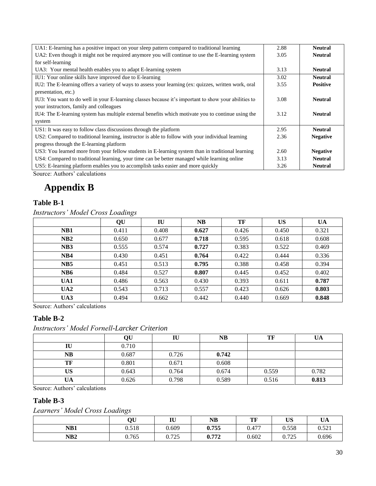| UA1: E-learning has a positive impact on your sleep pattern compared to traditional learning          | 2.88 | <b>Neutral</b>  |
|-------------------------------------------------------------------------------------------------------|------|-----------------|
| UA2: Even though it might not be required anymore you will continue to use the E-learning system      | 3.05 | <b>Neutral</b>  |
| for self-learning                                                                                     |      |                 |
| UA3: Your mental health enables you to adapt E-learning system                                        | 3.13 | <b>Neutral</b>  |
| IU1: Your online skills have improved due to E-learning                                               | 3.02 | <b>Neutral</b>  |
| IU2: The E-learning offers a variety of ways to assess your learning (ex: quizzes, written work, oral | 3.55 | <b>Positive</b> |
| presentation, etc.)                                                                                   |      |                 |
| IU3: You want to do well in your E-learning classes because it's important to show your abilities to  | 3.08 | <b>Neutral</b>  |
| your instructors, family and colleagues                                                               |      |                 |
| IU4: The E-learning system has multiple external benefits which motivate you to continue using the    | 3.12 | <b>Neutral</b>  |
| system                                                                                                |      |                 |
| US1: It was easy to follow class discussions through the platform                                     | 2.95 | <b>Neutral</b>  |
| US2: Compared to traditional learning, instructor is able to follow with your individual learning     | 2.36 | <b>Negative</b> |
| progress through the E-learning platform                                                              |      |                 |
| US3: You learned more from your fellow students in E-learning system than in traditional learning     | 2.60 | <b>Negative</b> |
| US4: Compared to traditional learning, your time can be better managed while learning online          | 3.13 | <b>Neutral</b>  |
| US5: E-learning platform enables you to accomplish tasks easier and more quickly                      | 3.26 | <b>Neutral</b>  |

Source: Authors' calculations

# **Appendix B**

### **Table B-1**

*Instructors' Model Cross Loadings*

|                 | QU    | IU    | <b>NB</b> | TF    | US    | UA    |
|-----------------|-------|-------|-----------|-------|-------|-------|
| NB1             | 0.411 | 0.408 | 0.627     | 0.426 | 0.450 | 0.321 |
| NB2             | 0.650 | 0.677 | 0.718     | 0.595 | 0.618 | 0.608 |
| NB <sub>3</sub> | 0.555 | 0.574 | 0.727     | 0.383 | 0.522 | 0.469 |
| NB4             | 0.430 | 0.451 | 0.764     | 0.422 | 0.444 | 0.336 |
| NB <sub>5</sub> | 0.451 | 0.513 | 0.795     | 0.388 | 0.458 | 0.394 |
| NB <sub>6</sub> | 0.484 | 0.527 | 0.807     | 0.445 | 0.452 | 0.402 |
| UA1             | 0.486 | 0.563 | 0.430     | 0.393 | 0.611 | 0.787 |
| UA2             | 0.543 | 0.713 | 0.557     | 0.423 | 0.626 | 0.803 |
| UA3             | 0.494 | 0.662 | 0.442     | 0.440 | 0.669 | 0.848 |

Source: Authors' calculations

### **Table B-2**

*Instructors' Model Fornell-Larcker Criterion*

|           | QU    | IU    | <b>NB</b> | TF    | UA    |
|-----------|-------|-------|-----------|-------|-------|
| IU        | 0.710 |       |           |       |       |
| <b>NB</b> | 0.687 | 0.726 | 0.742     |       |       |
| TF        | 0.801 | 0.671 | 0.608     |       |       |
| US        | 0.643 | 0.764 | 0.674     | 0.559 | 0.782 |
| UA        | 0.626 | 0.798 | 0.589     | 0.516 | 0.813 |

Source: Authors' calculations

### **Table B-3**

*Learners' Model Cross Loadings*

|                 | <b>QU</b> | IU    | NB    | TF<br>TL, | <b>US</b> | <b>T</b> IA<br>UA |
|-----------------|-----------|-------|-------|-----------|-----------|-------------------|
| NB1             | 0.518     | 0.609 | 0.755 | 0.477     | 0.558     | 0.521             |
| NB <sub>2</sub> | 0.765     | 0.725 | 0.772 | 0.602     | 0.725     | 0.696             |